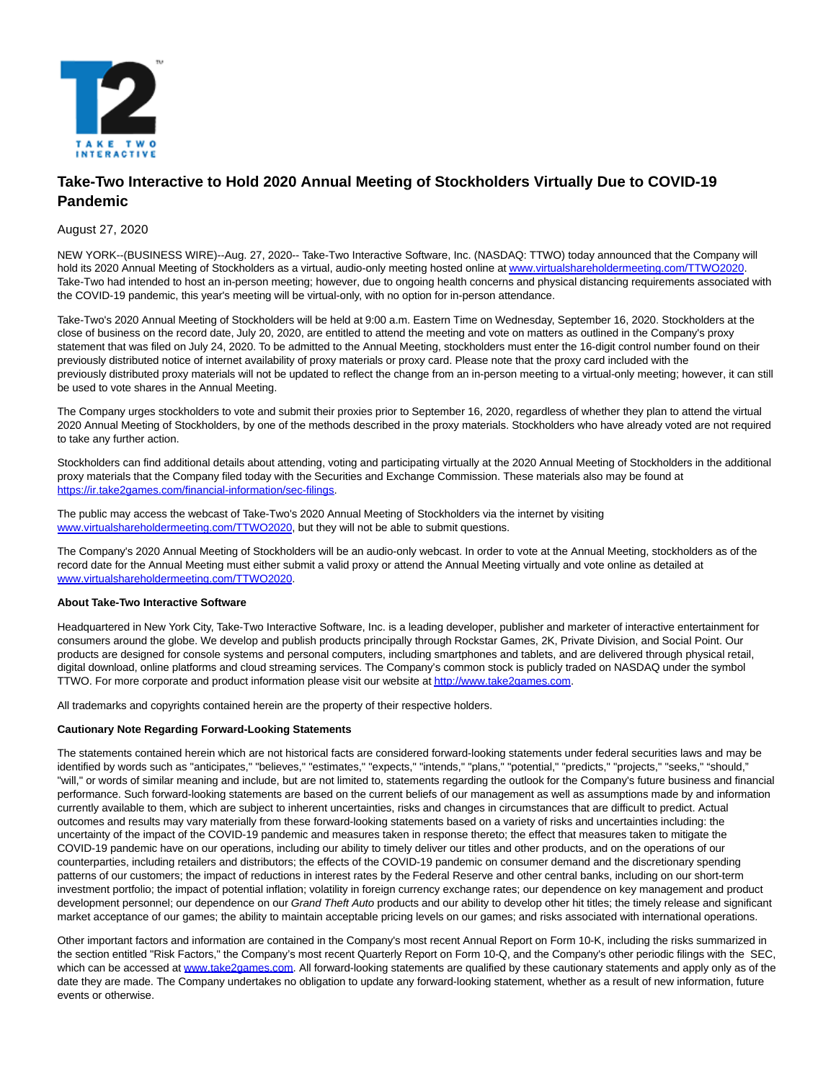

## **Take-Two Interactive to Hold 2020 Annual Meeting of Stockholders Virtually Due to COVID-19 Pandemic**

## August 27, 2020

NEW YORK--(BUSINESS WIRE)--Aug. 27, 2020-- Take-Two Interactive Software, Inc. (NASDAQ: TTWO) today announced that the Company will hold its 2020 Annual Meeting of Stockholders as a virtual, audio-only meeting hosted online a[t www.virtualshareholdermeeting.com/TTWO2020.](https://cts.businesswire.com/ct/CT?id=smartlink&url=http%3A%2F%2Fwww.virtualshareholdermeeting.com%2FTTWO2020&esheet=52274020&newsitemid=20200827005186&lan=en-US&anchor=www.virtualshareholdermeeting.com%2FTTWO2020&index=1&md5=eb91b0bd4676a3fa1f4b95ce18cd11f3) Take-Two had intended to host an in-person meeting; however, due to ongoing health concerns and physical distancing requirements associated with the COVID-19 pandemic, this year's meeting will be virtual-only, with no option for in-person attendance.

Take-Two's 2020 Annual Meeting of Stockholders will be held at 9:00 a.m. Eastern Time on Wednesday, September 16, 2020. Stockholders at the close of business on the record date, July 20, 2020, are entitled to attend the meeting and vote on matters as outlined in the Company's proxy statement that was filed on July 24, 2020. To be admitted to the Annual Meeting, stockholders must enter the 16-digit control number found on their previously distributed notice of internet availability of proxy materials or proxy card. Please note that the proxy card included with the previously distributed proxy materials will not be updated to reflect the change from an in-person meeting to a virtual-only meeting; however, it can still be used to vote shares in the Annual Meeting.

The Company urges stockholders to vote and submit their proxies prior to September 16, 2020, regardless of whether they plan to attend the virtual 2020 Annual Meeting of Stockholders, by one of the methods described in the proxy materials. Stockholders who have already voted are not required to take any further action.

Stockholders can find additional details about attending, voting and participating virtually at the 2020 Annual Meeting of Stockholders in the additional proxy materials that the Company filed today with the Securities and Exchange Commission. These materials also may be found at [https://ir.take2games.com/financial-information/sec-filings.](https://cts.businesswire.com/ct/CT?id=smartlink&url=https%3A%2F%2Fir.take2games.com%2Ffinancial-information%2Fsec-filings&esheet=52274020&newsitemid=20200827005186&lan=en-US&anchor=https%3A%2F%2Fir.take2games.com%2Ffinancial-information%2Fsec-filings&index=2&md5=c5dcbc5b67b6ecb3a6c8ffaaf0d315bc)

The public may access the webcast of Take-Two's 2020 Annual Meeting of Stockholders via the internet by visiting [www.virtualshareholdermeeting.com/TTWO2020,](https://cts.businesswire.com/ct/CT?id=smartlink&url=http%3A%2F%2Fwww.virtualshareholdermeeting.com%2FTTWO2020&esheet=52274020&newsitemid=20200827005186&lan=en-US&anchor=www.virtualshareholdermeeting.com%2FTTWO2020&index=3&md5=cae9b9770321def56f0e885941d41742) but they will not be able to submit questions.

The Company's 2020 Annual Meeting of Stockholders will be an audio-only webcast. In order to vote at the Annual Meeting, stockholders as of the record date for the Annual Meeting must either submit a valid proxy or attend the Annual Meeting virtually and vote online as detailed at [www.virtualshareholdermeeting.com/TTWO2020.](https://cts.businesswire.com/ct/CT?id=smartlink&url=http%3A%2F%2Fwww.virtualshareholdermeeting.com%2FTTWO2020&esheet=52274020&newsitemid=20200827005186&lan=en-US&anchor=www.virtualshareholdermeeting.com%2FTTWO2020&index=4&md5=a271893984dcfec60267c54517c0d1b8)

## **About Take-Two Interactive Software**

Headquartered in New York City, Take-Two Interactive Software, Inc. is a leading developer, publisher and marketer of interactive entertainment for consumers around the globe. We develop and publish products principally through Rockstar Games, 2K, Private Division, and Social Point. Our products are designed for console systems and personal computers, including smartphones and tablets, and are delivered through physical retail, digital download, online platforms and cloud streaming services. The Company's common stock is publicly traded on NASDAQ under the symbol TTWO. For more corporate and product information please visit our website a[t http://www.take2games.com.](https://cts.businesswire.com/ct/CT?id=smartlink&url=http%3A%2F%2Fwww.take2games.com&esheet=52274020&newsitemid=20200827005186&lan=en-US&anchor=http%3A%2F%2Fwww.take2games.com&index=5&md5=fcc563af38971c030a803a99541760c2)

All trademarks and copyrights contained herein are the property of their respective holders.

## **Cautionary Note Regarding Forward-Looking Statements**

The statements contained herein which are not historical facts are considered forward-looking statements under federal securities laws and may be identified by words such as "anticipates," "believes," "estimates," "expects," "intends," "plans," "potential," "predicts," "projects," "seeks," "should," "will," or words of similar meaning and include, but are not limited to, statements regarding the outlook for the Company's future business and financial performance. Such forward-looking statements are based on the current beliefs of our management as well as assumptions made by and information currently available to them, which are subject to inherent uncertainties, risks and changes in circumstances that are difficult to predict. Actual outcomes and results may vary materially from these forward-looking statements based on a variety of risks and uncertainties including: the uncertainty of the impact of the COVID-19 pandemic and measures taken in response thereto; the effect that measures taken to mitigate the COVID-19 pandemic have on our operations, including our ability to timely deliver our titles and other products, and on the operations of our counterparties, including retailers and distributors; the effects of the COVID-19 pandemic on consumer demand and the discretionary spending patterns of our customers; the impact of reductions in interest rates by the Federal Reserve and other central banks, including on our short-term investment portfolio; the impact of potential inflation; volatility in foreign currency exchange rates; our dependence on key management and product development personnel; our dependence on our Grand Theft Auto products and our ability to develop other hit titles; the timely release and significant market acceptance of our games; the ability to maintain acceptable pricing levels on our games; and risks associated with international operations.

Other important factors and information are contained in the Company's most recent Annual Report on Form 10-K, including the risks summarized in the section entitled "Risk Factors," the Company's most recent Quarterly Report on Form 10-Q, and the Company's other periodic filings with the SEC, which can be accessed at [www.take2games.com.](https://cts.businesswire.com/ct/CT?id=smartlink&url=http%3A%2F%2Fwww.take2games.com&esheet=52274020&newsitemid=20200827005186&lan=en-US&anchor=www.take2games.com&index=6&md5=e012f242dab3f9795421aab681dd6f1a) All forward-looking statements are qualified by these cautionary statements and apply only as of the date they are made. The Company undertakes no obligation to update any forward-looking statement, whether as a result of new information, future events or otherwise.